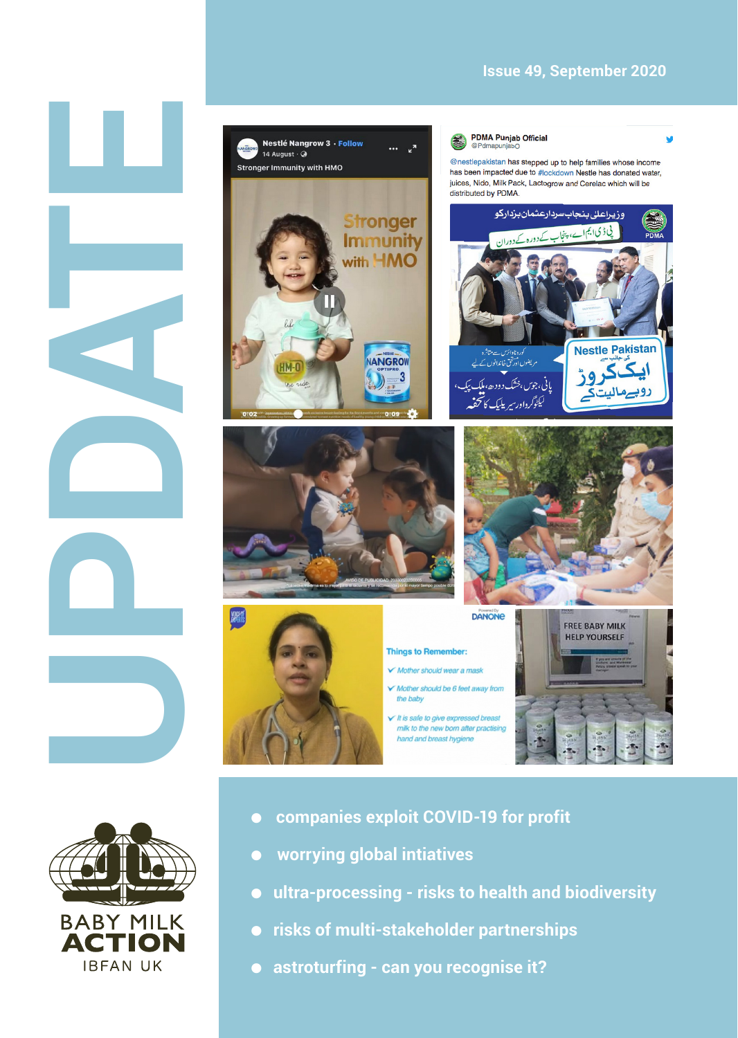## **Issue 49, September 2020**



- **BABY MILK ACTIO IBFAN UK**
- **companies exploit COVID-19 for profit**
- **worrying global intiatives**
- **ultra-processing risks to health and biodiversity**
- **risks of multi-stakeholder partnerships**
- **astroturfing can you recognise it?**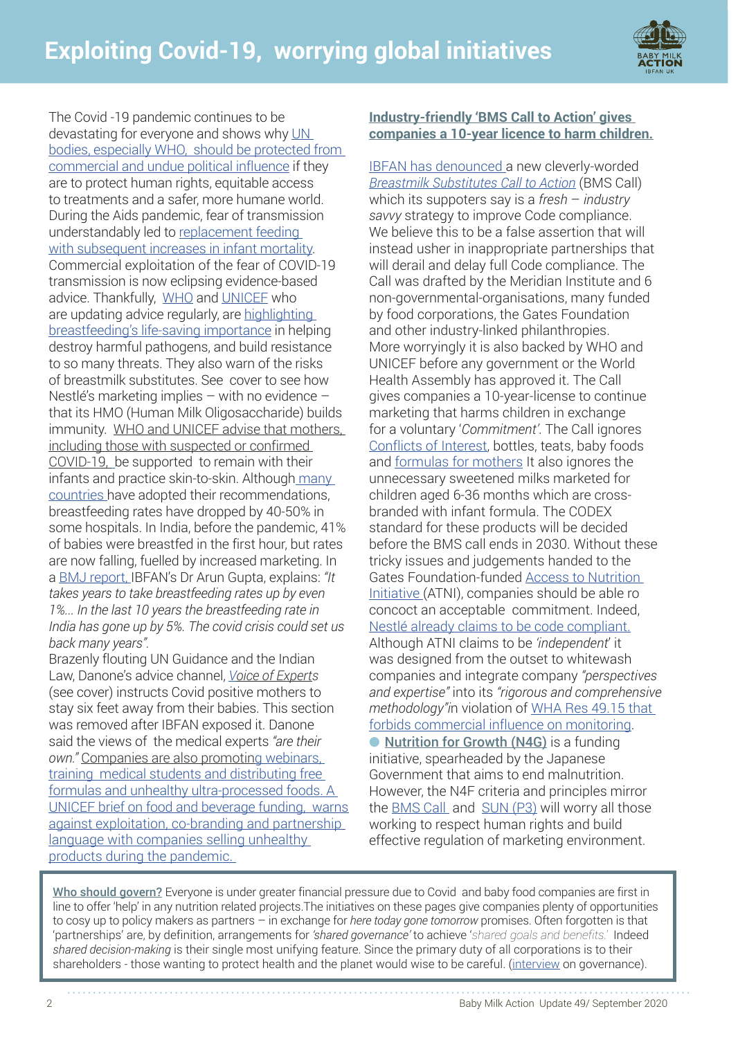

The Covid -19 pandemic continues to be devastating for everyone and shows why UN [bodies, especially WHO, should be protected from](http://www.babymilkaction.org/archives/24445)  [commercial and undue political influence](http://www.babymilkaction.org/archives/24445) if they are to protect human rights, equitable access to treatments and a safer, more humane world. During the Aids pandemic, fear of transmission understandably led to [replacement feeding](https://pubmed.ncbi.nlm.nih.gov/17398310/)  [with subsequent increases in infant mortality](https://pubmed.ncbi.nlm.nih.gov/17398310/). Commercial exploitation of the fear of COVID-19 transmission is now eclipsing evidence-based advice. Thankfully, [WHO](https://www.who.int/emergencies/diseases/novel-coronavirus-2019/question-and-answers-hub/q-a-detail/q-a-on-covid-19-and-breastfeeding) and UNICEE who are updating advice regularly, are highlighting [breastfeeding's life-saving importance](http://highlighting breastfeeding’s life-saving importance) in helping destroy harmful pathogens, and build resistance to so many threats. They also warn of the risks of breastmilk substitutes. See cover to see how Nestlé's marketing implies – with no evidence – that its HMO (Human Milk Oligosaccharide) builds immunity. WHO and UNICE[F advise that mothers,](http://www.babymilkaction.org/archives/24184)  [including those with suspected or confirmed](http://www.babymilkaction.org/archives/24184)  [COVID-19,](http://www.babymilkaction.org/archives/24184) be supported to remain with their infants and practice skin-to-skin. Although [many](https://mcusercontent.com/fb1d9aabd6c823bef179830e9/files/3a61b1ba-9a63-4500-a672-ed743fcfd904/Breastfeeding_survey_COVID19_Brief_final.pdf)  [countries](https://mcusercontent.com/fb1d9aabd6c823bef179830e9/files/3a61b1ba-9a63-4500-a672-ed743fcfd904/Breastfeeding_survey_COVID19_Brief_final.pdf) have adopted their recommendations, breastfeeding rates have dropped by 40-50% in some hospitals. In India, before the pandemic, 41% of babies were breastfed in the first hour, but rates are now falling, fuelled by increased marketing. In a [BMJ report,](https://www.bmj.com/content/370/bmj.m3316
) IBFAN's Dr Aru[n Gupta, ex](https://www.bmj.com/content/370/bmj.m3316

)plains: *"It takes years to take breastfeeding rates up by even 1%... In the last 10 years the breastfeeding rate in India has gone up by 5%. The covid crisis could set us back many years".* 

Brazenly flouting UN Guidance and the Indian Law, Danone's advice channel, *Voice of Experts* (see cover[\) instructs C](https://www.danone.in/voice-of-experts/)ovid positive mothers to stay six feet away from their babies. This section was removed after IBFAN exposed it. Danone said the views of the medical experts *"are their own."* Companies are also promotin[g webinars,](https://www.bmj.com/content/370/bmj.m3316)  [training medical students and distributing free](https://www.bmj.com/content/370/bmj.m3316)  [formulas and unhealthy ultra-processed foods. A](https://www.bmj.com/content/370/bmj.m3316)  UNICEF brief on food and beverage funding, warns against exploitation, co-branding and partnership language with companies selling unhealthy products during the pandemic.

### **I[ndustry-friendly 'BMS Call to Action' gives](http://www.babymilkaction.org/archives/25260)  [companies a 10-year licence to harm children.](http://www.babymilkaction.org/archives/25260)**

[IBFAN has denounced a](http://www.babymilkaction.org/archives/25260) new cleverly-worded *[Breastmilk Substitutes Call to Action](https://www.bmscalltoaction.info/)* (BMS Call) which its suppoters say is a *fresh* – *industry savvy* strategy to improve Code compliance. We believe this to be a false assertion that will instead usher in inappropriate partnerships that will derail and delay full Code compliance. The Call was drafted by the Meridian Institute and 6 non-governmental-organisations, many funded by food corporations, the Gates Foundation and other industry-linked philanthropies. More worryingly it is also backed by WHO and UNICEF before any government or the World Health Assembly has approved it. The Call gives companies a 10-year-license to continue marketing that harms children in exchange for a voluntary '*Commitment'*. The Call ignores Conflicts of Interest, bottles, teats, baby foods and [formulas for mothers](http://www.babymilkaction.org/wp-content/uploads/2020/09/Milks-for-mothers-1.pdf) It also ignores the unnecessary sweetened milks marketed for children aged 6-36 months which are crossbranded with infant formula. The CODEX standard for these products will be decided before the BMS call ends in 2030. Without these tricky issues and judgements handed to the Gates Foundation-funded [Access to Nutrition](https://accesstonutrition.org/)  [Initiative](https://accesstonutrition.org/) (ATNI), companies should be able ro concoct an acceptable commitment. Indeed, [Nestlé already claims to be code compliant](https://www.nestle.com/ask-nestle/health-nutrition/answers/who-code). Although ATNI claims to be *'independent*' it was designed from the outset to whitewash companies and integrate company *"perspectives and expertise"* into its *"rigorous and comprehensive methodology"i*n violation of [WHA Res 49.15 that](https://www.who.int/nutrition/topics/WHA49.15_iycn_en.pdf?ua=1)  [forbids commercial influence](https://www.who.int/nutrition/topics/WHA49.15_iycn_en.pdf?ua=1) on monitoring. ● [Nutrition for Growth \(N4G\)](https://nutritionforgrowth.org/) is a funding initiative, spearheaded by the Japanese Government that aims to end malnutrition. However, the N4F criteria and principles mirror the [BMS Call](https://www.bmscalltoaction.info/) and [SUN](https://scalingupnutrition.org/) (P3) will worry all those working to respect human rights and build effective regulation of marketing environment.

[Who should govern?](https://www.youtube.com/watch?v=RI0Pm53xJFk) Everyone is under greater financial pressure due to Covid and baby food companies are first in line to offer 'help' in any nutrition related projects.The initiatives on these pages give companies plenty of opportunities to cosy up to policy makers as partners – in exchange for *here today gone tomorrow* promises. Often forgotten is that 'partnerships' are, by definition, arrangements for *'shared governance'* to achieve '*shared goals and benefits.'* Indeed *shared decision-making* is their single most unifying feature. Since the primary duty of all corporations is to their shareholders - those wanting to protect health and the planet would wise to be careful. [\(interview](https://www.youtube.com/watch?v=RI0Pm53xJFk) on governance).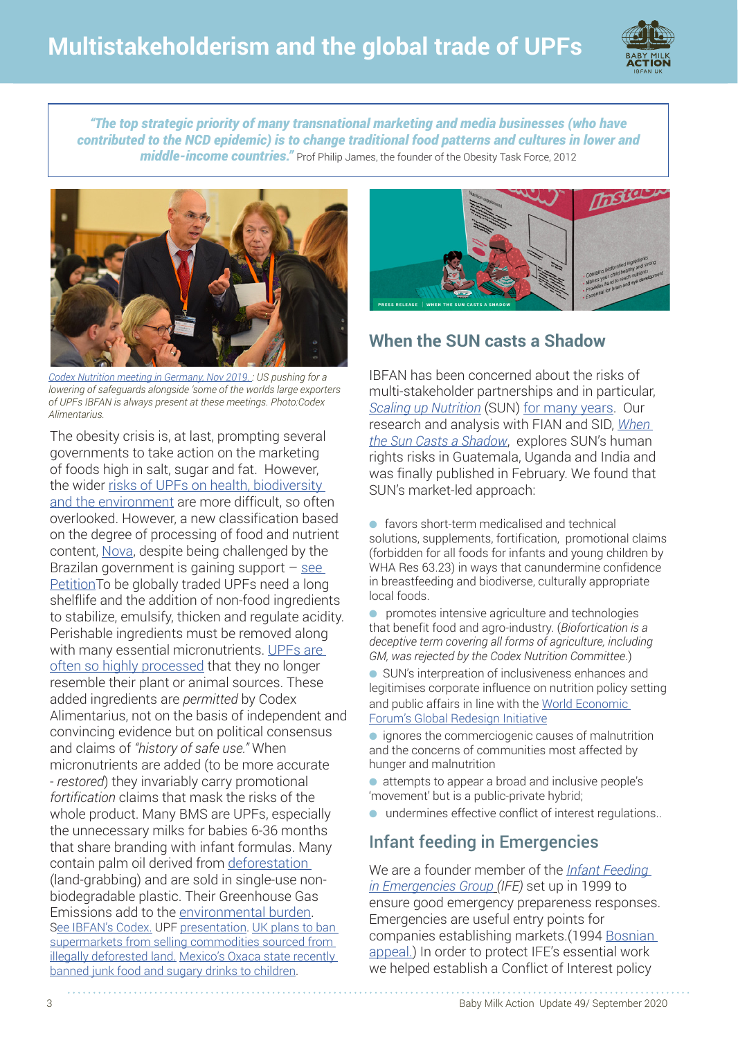

*"The top strategic priority of many transnational marketing and media businesses (who have contributed to the NCD epidemic) is to change traditional food patterns and cultures in lower and middle-income countries."* Prof Philip James, the founder of the Obesity Task Force, 2012



*[Codex Nutrition meeting in Germany](http://www.babymilkaction.org/archives/23295), Nov 2019. : US pushing for a lowering of safeguards alongside 'some of the worlds large exporters of UPFs IBFAN is always present at these meetings. Photo:Codex Alimentarius.*

The obesity crisis is, at last, prompting several governments to take action on the marketing of foods high in salt, sugar and fat. However, the wider [risks of UPFs on health, biodiversity](https://www.themandarin.com.au/139694-the-rise-of-ultra-processed-foods-and-why-theyre-really-bad-for-our-health/)  [and the environment](https://www.themandarin.com.au/139694-the-rise-of-ultra-processed-foods-and-why-theyre-really-bad-for-our-health/) are more difficult, so often overlooked. However, a new classification based on the degree of processing of food and nutrient content, [Nova,](http://www.fao.org/3/ca5644en/ca5644en.pdf) despite being challenged by the Brazilan government is gaining support  $-$  see [PetitionT](https://alimentacaosaudavel.org.br/manifesto_guia_alimentar/
)o be globally traded UPFs need a long shelflife and the addition of non-food ingredients to stabilize, emulsify, thicken and regulate acidity. Perishable ingredients must be removed along with many essential micronutrients. UPFs are [often so highly processed](http://www.fao.org/3/ca7349en/ca7349en.pdf) that they no longer resemble their plant or animal sources. These added ingredients are *permitted* by Codex [Alimentarius, not on the basis of independent and](https://www.theguardian.com/environment/2017/jul/21/pepsico-unilever-and-nestle-accused-of-complicity-in-illegal-rainforest-destruction?CMP=share_btn_tw)  convincing evidence but on political consensus and claims of *"history of safe use."* When micronutrients are added (to be more accurate - *restored*) they invariably carry promotional *fortification* claims that mask the risks of the whole product. Many BMS are UPFs, especially the unnecessary milks for babies 6-36 months that share branding with infant formulas. Many contain palm oil derived from [deforestation](https://www.theguardian.com/environment/2017/jul/21/pepsico-unilever-and-nestle-accused-of-complicity-in-illegal-rainforest-destruction?CMP=share_btn_tw)  (land-grabbing) and are sold in single-use nonbiodegradable plastic. Their Greenhouse Gas Emissions add to the [environmental burden.](https://internationalbreastfeedingjournal.biomedcentral.com/articles/10.1186/s13006-019-0243-8) [See IBFAN's Codex]( http://www.babymilkaction.org/archives/24252). UPF [presentation](http://www.babymilkaction.org/wp-content/uploads/2020/09/Patti-Bangladesh-UPP-short.sm_.pdf). UK plans to ban supermarkets from selling commodities sourced from [illegally deforested](https://www.bloomberg.com/news/articles/2020-08-24/u-k-seeks-to-ban-supermarkets-selling-goods-from-deforestation) land. Mexico's Oxaca state recently [banned junk food and sugary drinks to children.](https://www.bbc.co.uk/news/world-latin-america-53678747)



# **When the SUN casts a Shadow**

IBFAN has been concerned about the risks of multi-stakeholder partnerships and in particular, *[Scaling up Nutrition](https://scalingupnutrition.org/)* (SUN) for many years. Our research and analysis with FIAN and SID, *[When](http://www.babymilkaction.org/archives/24042)  [the Sun Casts a Shadow](http://www.babymilkaction.org/archives/24042)*, explores SUN's human rights risks in Guatemala, Uganda and India and was finally published in February. We found that SUN's market-led approach:

- favors short-term medicalised and technical solutions, supplements, fortification, promotional claims (forbidden for all foods for infants and young children by WHA Res 63.23) in ways that canundermine confidence in breastfeeding and biodiverse, culturally appropriate local foods.
- promotes intensive agriculture and technologies that benefit food and agro-industry. (*Biofortication is a deceptive term covering all forms of agriculture, including GM, was rejected by the Codex Nutrition Committee*.)
- SUN's interpreation of inclusiveness enhances and legitimises corporate influence on nutrition policy setting and public affairs in line with the World Economic [Forum's Global Redesign Initiative](https://www.tni.org/en/taxonomy/term/567/backup-delete-later/567)
- ignores the commerciogenic causes of malnutrition and the concerns of communities most affected by hunger and malnutrition
- attempts to appear a broad and inclusive people's 'movement' but is a public-private hybrid;
- undermines effective conflict of interest regulations..

# Infant feeding in Emergencies

We are a founder member of the *[Infant Feeding](https://www.ennonline.net/ife)  [in Emergencies Group](https://www.ennonline.net/ife) (IFE)* set up in 1999 to ensure good emergency prepareness responses. Emergencies are useful entry points for companies establishing markets.(1994 [Bosnian](https://tinyurl.com/yybso5ml) appeal.) In order to protect IFE's essential work we helped establish a Conflict of Interest policy